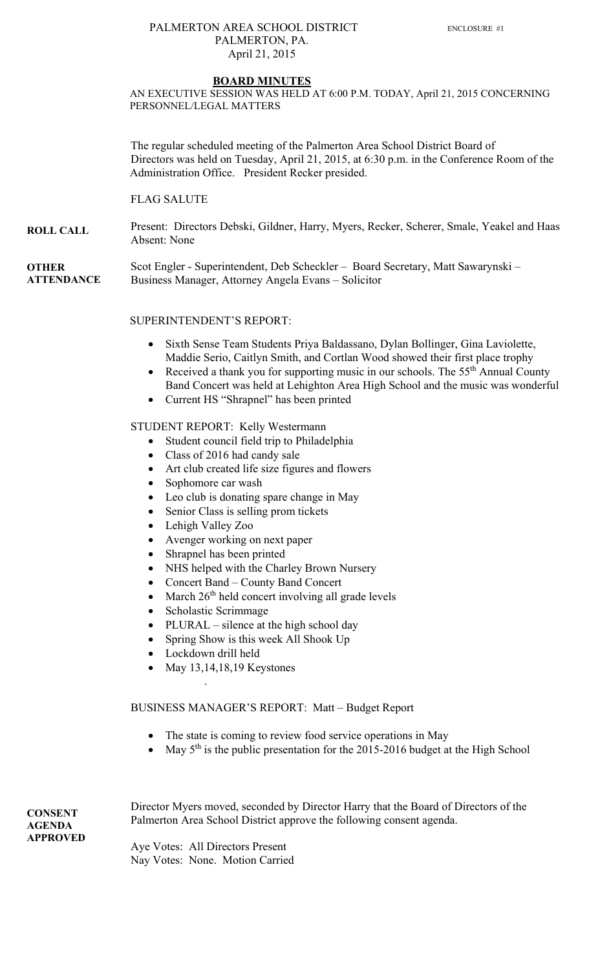## PALMERTON AREA SCHOOL DISTRICT ENCLOSURE #1 PALMERTON, PA. April 21, 2015

#### **BOARD MINUTES**

AN EXECUTIVE SESSION WAS HELD AT 6:00 P.M. TODAY, April 21, 2015 CONCERNING PERSONNEL/LEGAL MATTERS

The regular scheduled meeting of the Palmerton Area School District Board of Directors was held on Tuesday, April 21, 2015, at 6:30 p.m. in the Conference Room of the Administration Office. President Recker presided.

FLAG SALUTE

**ROLL CALL**  Present: Directors Debski, Gildner, Harry, Myers, Recker, Scherer, Smale, Yeakel and Haas Absent: None

**OTHER ATTENDANCE**  Scot Engler - Superintendent, Deb Scheckler – Board Secretary, Matt Sawarynski – Business Manager, Attorney Angela Evans – Solicitor

## SUPERINTENDENT'S REPORT:

- Sixth Sense Team Students Priya Baldassano, Dylan Bollinger, Gina Laviolette, Maddie Serio, Caitlyn Smith, and Cortlan Wood showed their first place trophy
- Received a thank you for supporting music in our schools. The  $55<sup>th</sup>$  Annual County Band Concert was held at Lehighton Area High School and the music was wonderful
- Current HS "Shrapnel" has been printed

#### STUDENT REPORT: Kelly Westermann

- Student council field trip to Philadelphia
- Class of 2016 had candy sale
- Art club created life size figures and flowers
- Sophomore car wash
- Leo club is donating spare change in May
- Senior Class is selling prom tickets
- Lehigh Valley Zoo
- Avenger working on next paper
- Shrapnel has been printed
- NHS helped with the Charley Brown Nursery
- Concert Band County Band Concert
- March  $26<sup>th</sup>$  held concert involving all grade levels
- Scholastic Scrimmage
- PLURAL silence at the high school day
- Spring Show is this week All Shook Up
- Lockdown drill held

.

 $\bullet$  May 13,14,18,19 Keystones

## BUSINESS MANAGER'S REPORT: Matt – Budget Report

- The state is coming to review food service operations in May
- May  $5<sup>th</sup>$  is the public presentation for the 2015-2016 budget at the High School

**CONSENT AGENDA APPROVED**  Director Myers moved, seconded by Director Harry that the Board of Directors of the Palmerton Area School District approve the following consent agenda.

Aye Votes: All Directors Present Nay Votes: None. Motion Carried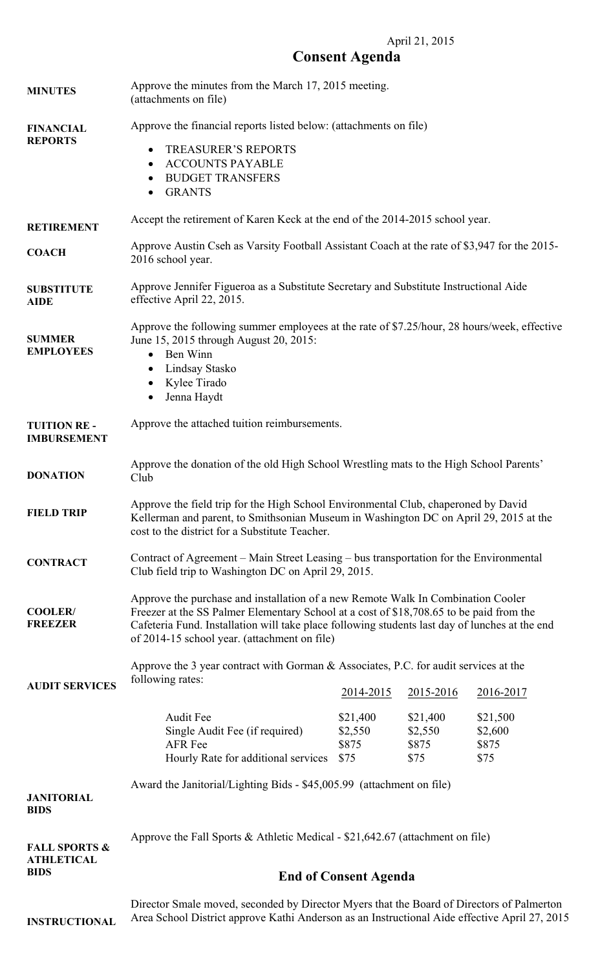## April 21, 2015

# **Consent Agenda**

| <b>MINUTES</b>                                | Approve the minutes from the March 17, 2015 meeting.<br>(attachments on file)                                                                                                                                                                                                                                                 |                                      |                                      |                                      |  |
|-----------------------------------------------|-------------------------------------------------------------------------------------------------------------------------------------------------------------------------------------------------------------------------------------------------------------------------------------------------------------------------------|--------------------------------------|--------------------------------------|--------------------------------------|--|
| <b>FINANCIAL</b><br><b>REPORTS</b>            | Approve the financial reports listed below: (attachments on file)<br><b>TREASURER'S REPORTS</b><br>$\bullet$<br><b>ACCOUNTS PAYABLE</b><br>$\bullet$<br><b>BUDGET TRANSFERS</b><br>٠<br><b>GRANTS</b><br>$\bullet$                                                                                                            |                                      |                                      |                                      |  |
| <b>RETIREMENT</b>                             | Accept the retirement of Karen Keck at the end of the 2014-2015 school year.                                                                                                                                                                                                                                                  |                                      |                                      |                                      |  |
| <b>COACH</b>                                  | Approve Austin Cseh as Varsity Football Assistant Coach at the rate of \$3,947 for the 2015-<br>2016 school year.                                                                                                                                                                                                             |                                      |                                      |                                      |  |
| <b>SUBSTITUTE</b><br><b>AIDE</b>              | Approve Jennifer Figueroa as a Substitute Secretary and Substitute Instructional Aide<br>effective April 22, 2015.                                                                                                                                                                                                            |                                      |                                      |                                      |  |
| <b>SUMMER</b><br><b>EMPLOYEES</b>             | Approve the following summer employees at the rate of \$7.25/hour, 28 hours/week, effective<br>June 15, 2015 through August 20, 2015:<br>• Ben Winn<br>Lindsay Stasko<br>$\bullet$<br>Kylee Tirado<br>$\bullet$<br>Jenna Haydt                                                                                                |                                      |                                      |                                      |  |
| <b>TUITION RE-</b><br><b>IMBURSEMENT</b>      | Approve the attached tuition reimbursements.                                                                                                                                                                                                                                                                                  |                                      |                                      |                                      |  |
| <b>DONATION</b>                               | Approve the donation of the old High School Wrestling mats to the High School Parents'<br>Club                                                                                                                                                                                                                                |                                      |                                      |                                      |  |
| <b>FIELD TRIP</b>                             | Approve the field trip for the High School Environmental Club, chaperoned by David<br>Kellerman and parent, to Smithsonian Museum in Washington DC on April 29, 2015 at the<br>cost to the district for a Substitute Teacher.                                                                                                 |                                      |                                      |                                      |  |
| <b>CONTRACT</b>                               | Contract of Agreement – Main Street Leasing – bus transportation for the Environmental<br>Club field trip to Washington DC on April 29, 2015.                                                                                                                                                                                 |                                      |                                      |                                      |  |
| <b>COOLER/</b><br><b>FREEZER</b>              | Approve the purchase and installation of a new Remote Walk In Combination Cooler<br>Freezer at the SS Palmer Elementary School at a cost of \$18,708.65 to be paid from the<br>Cafeteria Fund. Installation will take place following students last day of lunches at the end<br>of 2014-15 school year. (attachment on file) |                                      |                                      |                                      |  |
|                                               | Approve the 3 year contract with Gorman & Associates, P.C. for audit services at the<br>following rates:                                                                                                                                                                                                                      |                                      |                                      |                                      |  |
| <b>AUDIT SERVICES</b>                         |                                                                                                                                                                                                                                                                                                                               | 2014-2015                            | 2015-2016                            | 2016-2017                            |  |
|                                               | <b>Audit Fee</b><br>Single Audit Fee (if required)<br><b>AFR</b> Fee<br>Hourly Rate for additional services                                                                                                                                                                                                                   | \$21,400<br>\$2,550<br>\$875<br>\$75 | \$21,400<br>\$2,550<br>\$875<br>\$75 | \$21,500<br>\$2,600<br>\$875<br>\$75 |  |
| <b>JANITORIAL</b><br><b>BIDS</b>              | Award the Janitorial/Lighting Bids - \$45,005.99 (attachment on file)                                                                                                                                                                                                                                                         |                                      |                                      |                                      |  |
| <b>FALL SPORTS &amp;</b><br><b>ATHLETICAL</b> | Approve the Fall Sports & Athletic Medical - $$21,642.67$ (attachment on file)                                                                                                                                                                                                                                                |                                      |                                      |                                      |  |
| <b>BIDS</b>                                   | <b>End of Consent Agenda</b>                                                                                                                                                                                                                                                                                                  |                                      |                                      |                                      |  |
|                                               | Director Smale moved, seconded by Director Myers that the Board of Directors of Palmerton                                                                                                                                                                                                                                     |                                      |                                      |                                      |  |

Area School District approve Kathi Anderson as an Instructional Aide effective April 27, 2015